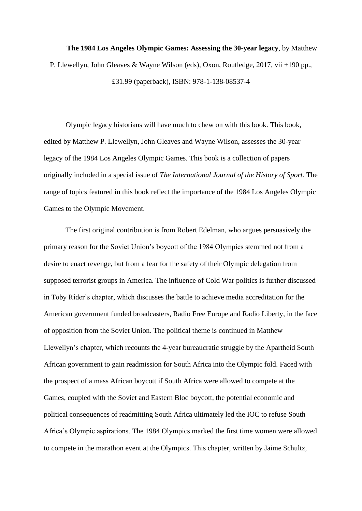**The 1984 Los Angeles Olympic Games: Assessing the 30-year legacy**, by Matthew P. Llewellyn, John Gleaves & Wayne Wilson (eds), Oxon, Routledge, 2017, vii +190 pp., £31.99 (paperback), ISBN: 978-1-138-08537-4

Olympic legacy historians will have much to chew on with this book. This book, edited by Matthew P. Llewellyn, John Gleaves and Wayne Wilson, assesses the 30-year legacy of the 1984 Los Angeles Olympic Games. This book is a collection of papers originally included in a special issue of *The International Journal of the History of Sport.* The range of topics featured in this book reflect the importance of the 1984 Los Angeles Olympic Games to the Olympic Movement.

The first original contribution is from Robert Edelman, who argues persuasively the primary reason for the Soviet Union's boycott of the 1984 Olympics stemmed not from a desire to enact revenge, but from a fear for the safety of their Olympic delegation from supposed terrorist groups in America. The influence of Cold War politics is further discussed in Toby Rider's chapter, which discusses the battle to achieve media accreditation for the American government funded broadcasters, Radio Free Europe and Radio Liberty, in the face of opposition from the Soviet Union. The political theme is continued in Matthew Llewellyn's chapter, which recounts the 4-year bureaucratic struggle by the Apartheid South African government to gain readmission for South Africa into the Olympic fold. Faced with the prospect of a mass African boycott if South Africa were allowed to compete at the Games, coupled with the Soviet and Eastern Bloc boycott, the potential economic and political consequences of readmitting South Africa ultimately led the IOC to refuse South Africa's Olympic aspirations. The 1984 Olympics marked the first time women were allowed to compete in the marathon event at the Olympics. This chapter, written by Jaime Schultz,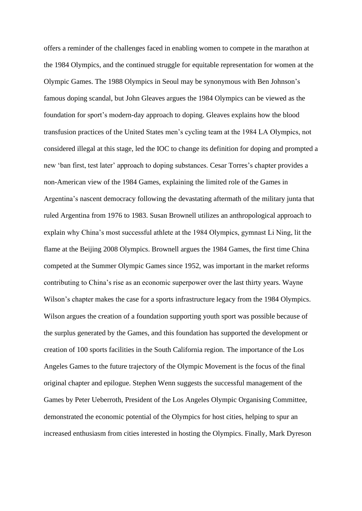offers a reminder of the challenges faced in enabling women to compete in the marathon at the 1984 Olympics, and the continued struggle for equitable representation for women at the Olympic Games. The 1988 Olympics in Seoul may be synonymous with Ben Johnson's famous doping scandal, but John Gleaves argues the 1984 Olympics can be viewed as the foundation for sport's modern-day approach to doping. Gleaves explains how the blood transfusion practices of the United States men's cycling team at the 1984 LA Olympics, not considered illegal at this stage, led the IOC to change its definition for doping and prompted a new 'ban first, test later' approach to doping substances. Cesar Torres's chapter provides a non-American view of the 1984 Games, explaining the limited role of the Games in Argentina's nascent democracy following the devastating aftermath of the military junta that ruled Argentina from 1976 to 1983. Susan Brownell utilizes an anthropological approach to explain why China's most successful athlete at the 1984 Olympics, gymnast Li Ning, lit the flame at the Beijing 2008 Olympics. Brownell argues the 1984 Games, the first time China competed at the Summer Olympic Games since 1952, was important in the market reforms contributing to China's rise as an economic superpower over the last thirty years. Wayne Wilson's chapter makes the case for a sports infrastructure legacy from the 1984 Olympics. Wilson argues the creation of a foundation supporting youth sport was possible because of the surplus generated by the Games, and this foundation has supported the development or creation of 100 sports facilities in the South California region. The importance of the Los Angeles Games to the future trajectory of the Olympic Movement is the focus of the final original chapter and epilogue. Stephen Wenn suggests the successful management of the Games by Peter Ueberroth, President of the Los Angeles Olympic Organising Committee, demonstrated the economic potential of the Olympics for host cities, helping to spur an increased enthusiasm from cities interested in hosting the Olympics. Finally, Mark Dyreson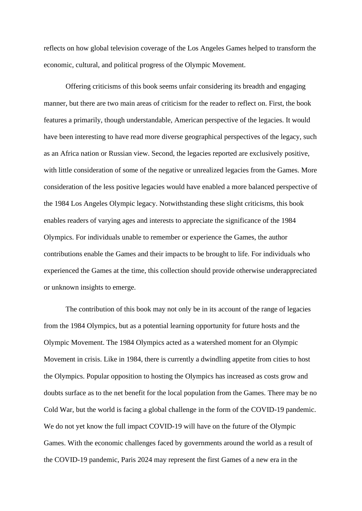reflects on how global television coverage of the Los Angeles Games helped to transform the economic, cultural, and political progress of the Olympic Movement.

Offering criticisms of this book seems unfair considering its breadth and engaging manner, but there are two main areas of criticism for the reader to reflect on. First, the book features a primarily, though understandable, American perspective of the legacies. It would have been interesting to have read more diverse geographical perspectives of the legacy, such as an Africa nation or Russian view. Second, the legacies reported are exclusively positive, with little consideration of some of the negative or unrealized legacies from the Games. More consideration of the less positive legacies would have enabled a more balanced perspective of the 1984 Los Angeles Olympic legacy. Notwithstanding these slight criticisms, this book enables readers of varying ages and interests to appreciate the significance of the 1984 Olympics. For individuals unable to remember or experience the Games, the author contributions enable the Games and their impacts to be brought to life. For individuals who experienced the Games at the time, this collection should provide otherwise underappreciated or unknown insights to emerge.

The contribution of this book may not only be in its account of the range of legacies from the 1984 Olympics, but as a potential learning opportunity for future hosts and the Olympic Movement. The 1984 Olympics acted as a watershed moment for an Olympic Movement in crisis. Like in 1984, there is currently a dwindling appetite from cities to host the Olympics. Popular opposition to hosting the Olympics has increased as costs grow and doubts surface as to the net benefit for the local population from the Games. There may be no Cold War, but the world is facing a global challenge in the form of the COVID-19 pandemic. We do not yet know the full impact COVID-19 will have on the future of the Olympic Games. With the economic challenges faced by governments around the world as a result of the COVID-19 pandemic, Paris 2024 may represent the first Games of a new era in the